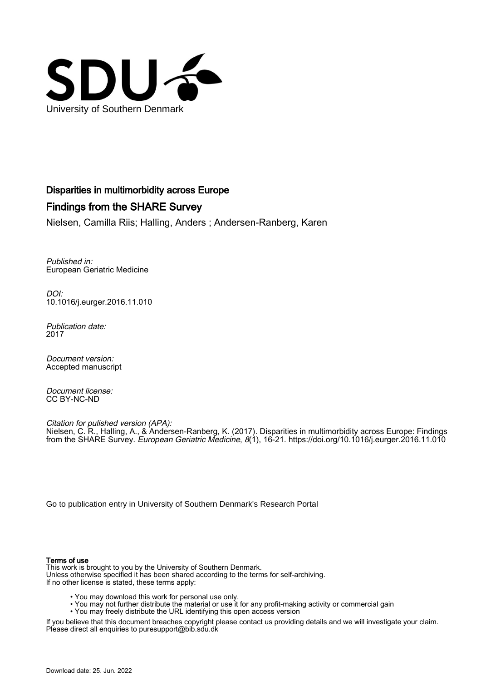

# Disparities in multimorbidity across Europe

# Findings from the SHARE Survey

Nielsen, Camilla Riis; Halling, Anders ; Andersen-Ranberg, Karen

Published in: European Geriatric Medicine

DOI: [10.1016/j.eurger.2016.11.010](https://doi.org/10.1016/j.eurger.2016.11.010)

Publication date: 2017

Document version: Accepted manuscript

Document license: CC BY-NC-ND

Citation for pulished version (APA): Nielsen, C. R., Halling, A., & Andersen-Ranberg, K. (2017). Disparities in multimorbidity across Europe: Findings from the SHARE Survey. European Geriatric Medicine, 8(1), 16-21. <https://doi.org/10.1016/j.eurger.2016.11.010>

[Go to publication entry in University of Southern Denmark's Research Portal](https://portal.findresearcher.sdu.dk/en/publications/4f96eec6-d181-45fb-bad3-2b1792404305)

#### Terms of use

This work is brought to you by the University of Southern Denmark. Unless otherwise specified it has been shared according to the terms for self-archiving. If no other license is stated, these terms apply:

- You may download this work for personal use only.
- You may not further distribute the material or use it for any profit-making activity or commercial gain
- You may freely distribute the URL identifying this open access version

If you believe that this document breaches copyright please contact us providing details and we will investigate your claim. Please direct all enquiries to puresupport@bib.sdu.dk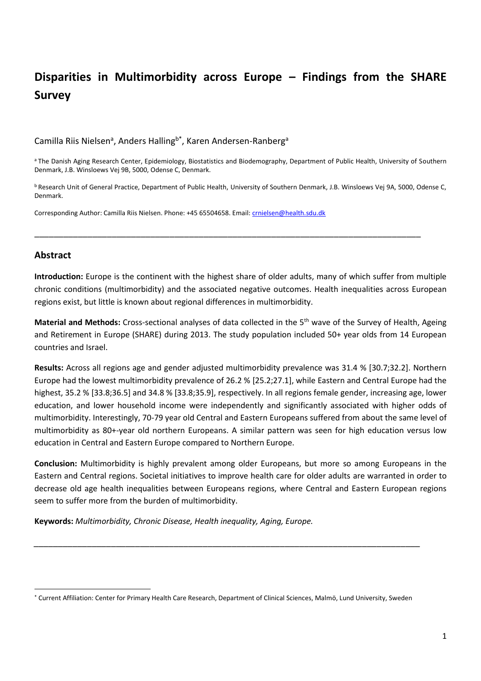# **Disparities in Multimorbidity across Europe – Findings from the SHARE Survey**

# Camilla Riis Nielsen<sup>a</sup>, Anders Halling<sup>b\*</sup>, Karen Andersen-Ranberg<sup>a</sup>

a The Danish Aging Research Center, Epidemiology, Biostatistics and Biodemography, Department of Public Health, University of Southern Denmark, J.B. Winsloews Vej 9B, 5000, Odense C, Denmark.

<sup>b</sup> Research Unit of General Practice, Department of Public Health, University of Southern Denmark, J.B. Winsloews Vej 9A, 5000, Odense C, Denmark.

\_\_\_\_\_\_\_\_\_\_\_\_\_\_\_\_\_\_\_\_\_\_\_\_\_\_\_\_\_\_\_\_\_\_\_\_\_\_\_\_\_\_\_\_\_\_\_\_\_\_\_\_\_\_\_\_\_\_\_\_\_\_\_\_\_\_\_\_\_\_\_\_\_\_\_\_\_\_\_\_

Corresponding Author: Camilla Riis Nielsen. Phone: +45 65504658. Email: [crnielsen@health.sdu.dk](mailto:crnielsen@health.sdu.dk)

## **Abstract**

 $\ddot{\phantom{a}}$ 

**Introduction:** Europe is the continent with the highest share of older adults, many of which suffer from multiple chronic conditions (multimorbidity) and the associated negative outcomes. Health inequalities across European regions exist, but little is known about regional differences in multimorbidity.

**Material and Methods:** Cross-sectional analyses of data collected in the 5th wave of the Survey of Health, Ageing and Retirement in Europe (SHARE) during 2013. The study population included 50+ year olds from 14 European countries and Israel.

**Results:** Across all regions age and gender adjusted multimorbidity prevalence was 31.4 % [30.7;32.2]. Northern Europe had the lowest multimorbidity prevalence of 26.2 % [25.2;27.1], while Eastern and Central Europe had the highest, 35.2 % [33.8;36.5] and 34.8 % [33.8;35.9], respectively. In all regions female gender, increasing age, lower education, and lower household income were independently and significantly associated with higher odds of multimorbidity. Interestingly, 70-79 year old Central and Eastern Europeans suffered from about the same level of multimorbidity as 80+-year old northern Europeans. A similar pattern was seen for high education versus low education in Central and Eastern Europe compared to Northern Europe.

**Conclusion:** Multimorbidity is highly prevalent among older Europeans, but more so among Europeans in the Eastern and Central regions. Societal initiatives to improve health care for older adults are warranted in order to decrease old age health inequalities between Europeans regions, where Central and Eastern European regions seem to suffer more from the burden of multimorbidity.

**Keywords:** *Multimorbidity, Chronic Disease, Health inequality, Aging, Europe.* 

*\_\_\_\_\_\_\_\_\_\_\_\_\_\_\_\_\_\_\_\_\_\_\_\_\_\_\_\_\_\_\_\_\_\_\_\_\_\_\_\_\_\_\_\_\_\_\_\_\_\_\_\_\_\_\_\_\_\_\_\_\_\_\_\_\_\_\_\_\_\_\_\_\_\_\_\_\_\_\_\_*

<sup>\*</sup> Current Affiliation: Center for Primary Health Care Research, Department of Clinical Sciences, Malmö, Lund University, Sweden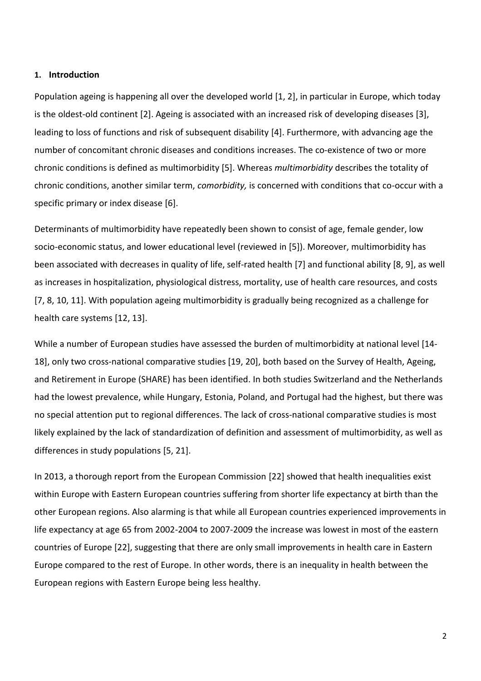#### **1. Introduction**

Population ageing is happening all over the developed world [1, 2], in particular in Europe, which today is the oldest-old continent [2]. Ageing is associated with an increased risk of developing diseases [3], leading to loss of functions and risk of subsequent disability [4]. Furthermore, with advancing age the number of concomitant chronic diseases and conditions increases. The co-existence of two or more chronic conditions is defined as multimorbidity [5]. Whereas *multimorbidity* describes the totality of chronic conditions, another similar term, *comorbidity,* is concerned with conditions that co-occur with a specific primary or index disease [6].

Determinants of multimorbidity have repeatedly been shown to consist of age, female gender, low socio-economic status, and lower educational level (reviewed in [5]). Moreover, multimorbidity has been associated with decreases in quality of life, self-rated health [7] and functional ability [8, 9], as well as increases in hospitalization, physiological distress, mortality, use of health care resources, and costs [7, 8, 10, 11]. With population ageing multimorbidity is gradually being recognized as a challenge for health care systems [12, 13].

While a number of European studies have assessed the burden of multimorbidity at national level [14- 18], only two cross-national comparative studies [19, 20], both based on the Survey of Health, Ageing, and Retirement in Europe (SHARE) has been identified. In both studies Switzerland and the Netherlands had the lowest prevalence, while Hungary, Estonia, Poland, and Portugal had the highest, but there was no special attention put to regional differences. The lack of cross-national comparative studies is most likely explained by the lack of standardization of definition and assessment of multimorbidity, as well as differences in study populations [5, 21].

In 2013, a thorough report from the European Commission [22] showed that health inequalities exist within Europe with Eastern European countries suffering from shorter life expectancy at birth than the other European regions. Also alarming is that while all European countries experienced improvements in life expectancy at age 65 from 2002-2004 to 2007-2009 the increase was lowest in most of the eastern countries of Europe [22], suggesting that there are only small improvements in health care in Eastern Europe compared to the rest of Europe. In other words, there is an inequality in health between the European regions with Eastern Europe being less healthy.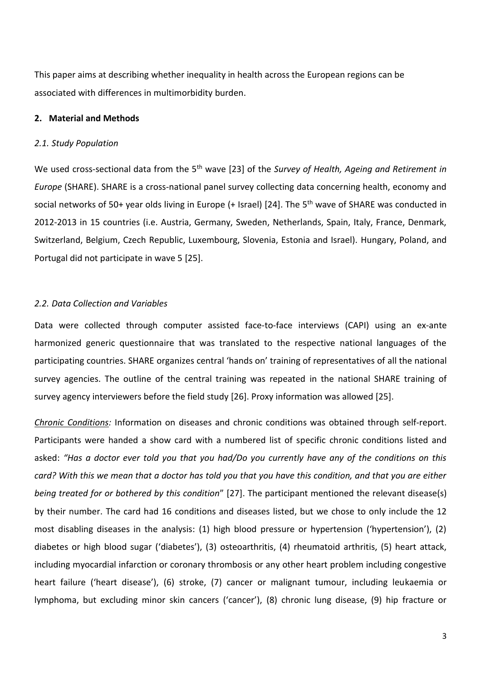This paper aims at describing whether inequality in health across the European regions can be associated with differences in multimorbidity burden.

### **2. Material and Methods**

#### *2.1. Study Population*

We used cross-sectional data from the 5<sup>th</sup> wave [23] of the *Survey of Health, Ageing and Retirement in Europe* (SHARE). SHARE is a cross-national panel survey collecting data concerning health, economy and social networks of 50+ year olds living in Europe (+ Israel) [24]. The 5<sup>th</sup> wave of SHARE was conducted in 2012-2013 in 15 countries (i.e. Austria, Germany, Sweden, Netherlands, Spain, Italy, France, Denmark, Switzerland, Belgium, Czech Republic, Luxembourg, Slovenia, Estonia and Israel). Hungary, Poland, and Portugal did not participate in wave 5 [25].

#### *2.2. Data Collection and Variables*

Data were collected through computer assisted face-to-face interviews (CAPI) using an ex-ante harmonized generic questionnaire that was translated to the respective national languages of the participating countries. SHARE organizes central 'hands on' training of representatives of all the national survey agencies. The outline of the central training was repeated in the national SHARE training of survey agency interviewers before the field study [26]. Proxy information was allowed [25].

*Chronic Conditions:* Information on diseases and chronic conditions was obtained through self-report. Participants were handed a show card with a numbered list of specific chronic conditions listed and asked: *"Has a doctor ever told you that you had/Do you currently have any of the conditions on this card? With this we mean that a doctor has told you that you have this condition, and that you are either being treated for or bothered by this condition*" [27]. The participant mentioned the relevant disease(s) by their number. The card had 16 conditions and diseases listed, but we chose to only include the 12 most disabling diseases in the analysis: (1) high blood pressure or hypertension ('hypertension'), (2) diabetes or high blood sugar ('diabetes'), (3) osteoarthritis, (4) rheumatoid arthritis, (5) heart attack, including myocardial infarction or coronary thrombosis or any other heart problem including congestive heart failure ('heart disease'), (6) stroke, (7) cancer or malignant tumour, including leukaemia or lymphoma, but excluding minor skin cancers ('cancer'), (8) chronic lung disease, (9) hip fracture or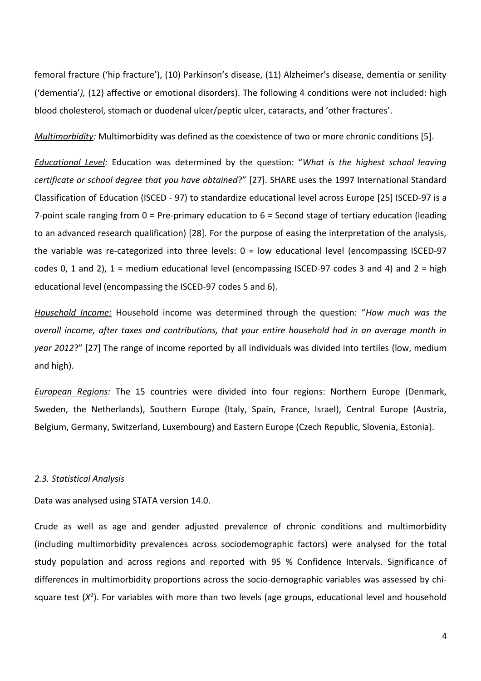femoral fracture ('hip fracture'), (10) Parkinson's disease, (11) Alzheimer's disease, dementia or senility ('dementia'*),* (12) affective or emotional disorders). The following 4 conditions were not included: high blood cholesterol, stomach or duodenal ulcer/peptic ulcer, cataracts, and 'other fractures'.

*Multimorbidity:* Multimorbidity was defined as the coexistence of two or more chronic conditions [5].

*Educational Level:* Education was determined by the question: "*What is the highest school leaving certificate or school degree that you have obtained*?" [27]. SHARE uses the 1997 International Standard Classification of Education (ISCED - 97) to standardize educational level across Europe [25] ISCED-97 is a 7-point scale ranging from 0 = Pre-primary education to 6 = Second stage of tertiary education (leading to an advanced research qualification) [28]. For the purpose of easing the interpretation of the analysis, the variable was re-categorized into three levels:  $0 =$  low educational level (encompassing ISCED-97 codes 0, 1 and 2),  $1 =$  medium educational level (encompassing ISCED-97 codes 3 and 4) and  $2 =$  high educational level (encompassing the ISCED-97 codes 5 and 6).

*Household Income:* Household income was determined through the question: "*How much was the overall income, after taxes and contributions, that your entire household had in an average month in year 2012*?" [27] The range of income reported by all individuals was divided into tertiles (low, medium and high).

*European Regions:* The 15 countries were divided into four regions: Northern Europe (Denmark, Sweden, the Netherlands), Southern Europe (Italy, Spain, France, Israel), Central Europe (Austria, Belgium, Germany, Switzerland, Luxembourg) and Eastern Europe (Czech Republic, Slovenia, Estonia).

#### *2.3. Statistical Analysis*

Data was analysed using STATA version 14.0.

Crude as well as age and gender adjusted prevalence of chronic conditions and multimorbidity (including multimorbidity prevalences across sociodemographic factors) were analysed for the total study population and across regions and reported with 95 % Confidence Intervals. Significance of differences in multimorbidity proportions across the socio-demographic variables was assessed by chisquare test (X<sup>2</sup>). For variables with more than two levels (age groups, educational level and household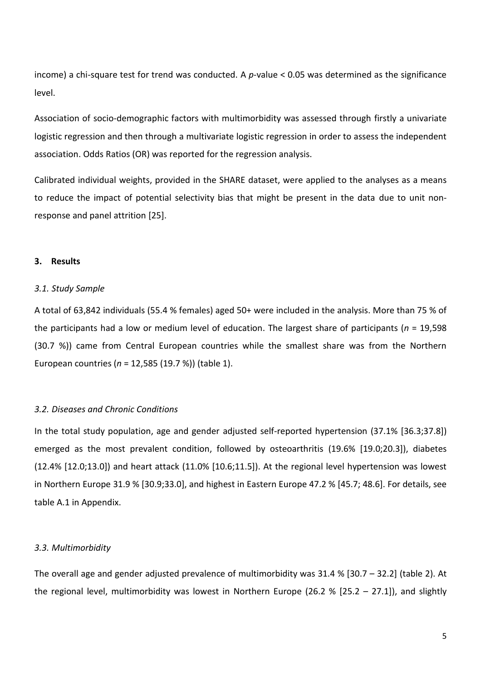income) a chi-square test for trend was conducted. A *p*-value < 0.05 was determined as the significance level.

Association of socio-demographic factors with multimorbidity was assessed through firstly a univariate logistic regression and then through a multivariate logistic regression in order to assess the independent association. Odds Ratios (OR) was reported for the regression analysis.

Calibrated individual weights, provided in the SHARE dataset, were applied to the analyses as a means to reduce the impact of potential selectivity bias that might be present in the data due to unit nonresponse and panel attrition [25].

## **3. Results**

#### *3.1. Study Sample*

A total of 63,842 individuals (55.4 % females) aged 50+ were included in the analysis. More than 75 % of the participants had a low or medium level of education. The largest share of participants (*n* = 19,598 (30.7 %)) came from Central European countries while the smallest share was from the Northern European countries (*n* = 12,585 (19.7 %)) (table 1).

#### *3.2. Diseases and Chronic Conditions*

In the total study population, age and gender adjusted self-reported hypertension (37.1% [36.3;37.8]) emerged as the most prevalent condition, followed by osteoarthritis (19.6% [19.0;20.3]), diabetes (12.4% [12.0;13.0]) and heart attack (11.0% [10.6;11.5]). At the regional level hypertension was lowest in Northern Europe 31.9 % [30.9;33.0], and highest in Eastern Europe 47.2 % [45.7; 48.6]. For details, see table A.1 in Appendix.

## *3.3. Multimorbidity*

The overall age and gender adjusted prevalence of multimorbidity was 31.4 % [30.7 – 32.2] (table 2). At the regional level, multimorbidity was lowest in Northern Europe (26.2 % [25.2 – 27.1]), and slightly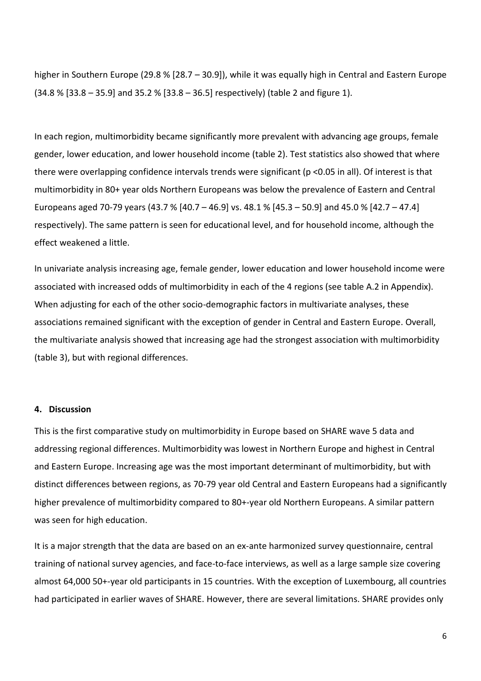higher in Southern Europe (29.8 % [28.7 – 30.9]), while it was equally high in Central and Eastern Europe (34.8 % [33.8 – 35.9] and 35.2 % [33.8 – 36.5] respectively) (table 2 and figure 1).

In each region, multimorbidity became significantly more prevalent with advancing age groups, female gender, lower education, and lower household income (table 2). Test statistics also showed that where there were overlapping confidence intervals trends were significant (p <0.05 in all). Of interest is that multimorbidity in 80+ year olds Northern Europeans was below the prevalence of Eastern and Central Europeans aged 70-79 years (43.7 % [40.7 – 46.9] vs. 48.1 % [45.3 – 50.9] and 45.0 % [42.7 – 47.4] respectively). The same pattern is seen for educational level, and for household income, although the effect weakened a little.

In univariate analysis increasing age, female gender, lower education and lower household income were associated with increased odds of multimorbidity in each of the 4 regions (see table A.2 in Appendix). When adjusting for each of the other socio-demographic factors in multivariate analyses, these associations remained significant with the exception of gender in Central and Eastern Europe. Overall, the multivariate analysis showed that increasing age had the strongest association with multimorbidity (table 3), but with regional differences.

## **4. Discussion**

This is the first comparative study on multimorbidity in Europe based on SHARE wave 5 data and addressing regional differences. Multimorbidity was lowest in Northern Europe and highest in Central and Eastern Europe. Increasing age was the most important determinant of multimorbidity, but with distinct differences between regions, as 70-79 year old Central and Eastern Europeans had a significantly higher prevalence of multimorbidity compared to 80+-year old Northern Europeans. A similar pattern was seen for high education.

It is a major strength that the data are based on an ex-ante harmonized survey questionnaire, central training of national survey agencies, and face-to-face interviews, as well as a large sample size covering almost 64,000 50+-year old participants in 15 countries. With the exception of Luxembourg, all countries had participated in earlier waves of SHARE. However, there are several limitations. SHARE provides only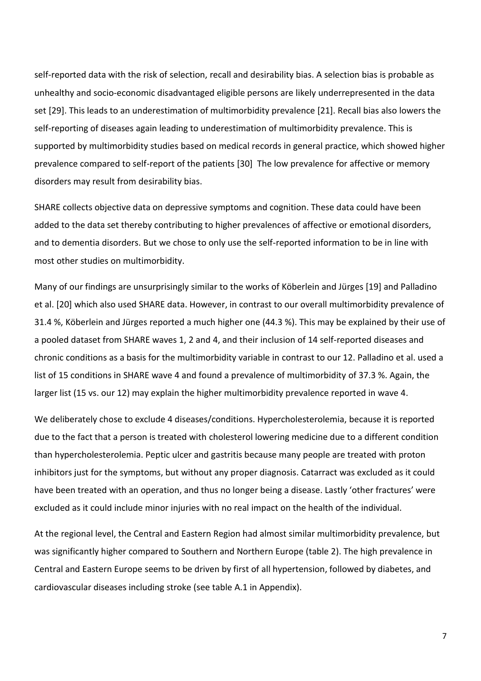self-reported data with the risk of selection, recall and desirability bias. A selection bias is probable as unhealthy and socio-economic disadvantaged eligible persons are likely underrepresented in the data set [29]. This leads to an underestimation of multimorbidity prevalence [21]. Recall bias also lowers the self-reporting of diseases again leading to underestimation of multimorbidity prevalence. This is supported by multimorbidity studies based on medical records in general practice, which showed higher prevalence compared to self-report of the patients [30] The low prevalence for affective or memory disorders may result from desirability bias.

SHARE collects objective data on depressive symptoms and cognition. These data could have been added to the data set thereby contributing to higher prevalences of affective or emotional disorders, and to dementia disorders. But we chose to only use the self-reported information to be in line with most other studies on multimorbidity.

Many of our findings are unsurprisingly similar to the works of Köberlein and Jürges [19] and Palladino et al. [20] which also used SHARE data. However, in contrast to our overall multimorbidity prevalence of 31.4 %, Köberlein and Jürges reported a much higher one (44.3 %). This may be explained by their use of a pooled dataset from SHARE waves 1, 2 and 4, and their inclusion of 14 self-reported diseases and chronic conditions as a basis for the multimorbidity variable in contrast to our 12. Palladino et al. used a list of 15 conditions in SHARE wave 4 and found a prevalence of multimorbidity of 37.3 %. Again, the larger list (15 vs. our 12) may explain the higher multimorbidity prevalence reported in wave 4.

We deliberately chose to exclude 4 diseases/conditions. Hypercholesterolemia, because it is reported due to the fact that a person is treated with cholesterol lowering medicine due to a different condition than hypercholesterolemia. Peptic ulcer and gastritis because many people are treated with proton inhibitors just for the symptoms, but without any proper diagnosis. Catarract was excluded as it could have been treated with an operation, and thus no longer being a disease. Lastly 'other fractures' were excluded as it could include minor injuries with no real impact on the health of the individual.

At the regional level, the Central and Eastern Region had almost similar multimorbidity prevalence, but was significantly higher compared to Southern and Northern Europe (table 2). The high prevalence in Central and Eastern Europe seems to be driven by first of all hypertension, followed by diabetes, and cardiovascular diseases including stroke (see table A.1 in Appendix).

7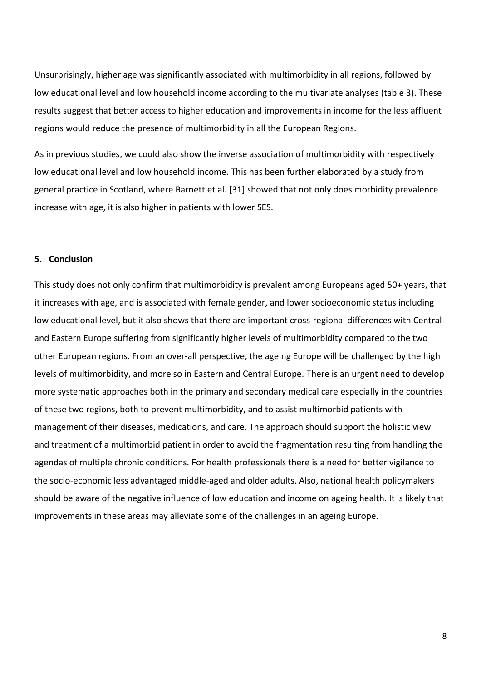Unsurprisingly, higher age was significantly associated with multimorbidity in all regions, followed by low educational level and low household income according to the multivariate analyses (table 3). These results suggest that better access to higher education and improvements in income for the less affluent regions would reduce the presence of multimorbidity in all the European Regions.

As in previous studies, we could also show the inverse association of multimorbidity with respectively low educational level and low household income. This has been further elaborated by a study from general practice in Scotland, where Barnett et al. [31] showed that not only does morbidity prevalence increase with age, it is also higher in patients with lower SES.

## **5. Conclusion**

This study does not only confirm that multimorbidity is prevalent among Europeans aged 50+ years, that it increases with age, and is associated with female gender, and lower socioeconomic status including low educational level, but it also shows that there are important cross-regional differences with Central and Eastern Europe suffering from significantly higher levels of multimorbidity compared to the two other European regions. From an over-all perspective, the ageing Europe will be challenged by the high levels of multimorbidity, and more so in Eastern and Central Europe. There is an urgent need to develop more systematic approaches both in the primary and secondary medical care especially in the countries of these two regions, both to prevent multimorbidity, and to assist multimorbid patients with management of their diseases, medications, and care. The approach should support the holistic view and treatment of a multimorbid patient in order to avoid the fragmentation resulting from handling the agendas of multiple chronic conditions. For health professionals there is a need for better vigilance to the socio-economic less advantaged middle-aged and older adults. Also, national health policymakers should be aware of the negative influence of low education and income on ageing health. It is likely that improvements in these areas may alleviate some of the challenges in an ageing Europe.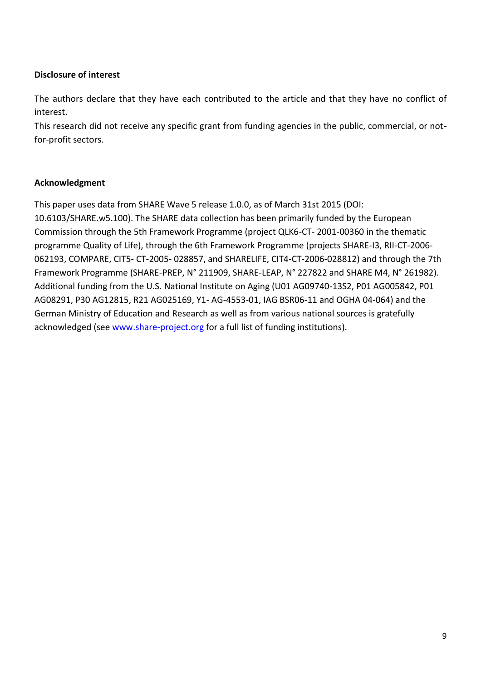# **Disclosure of interest**

The authors declare that they have each contributed to the article and that they have no conflict of interest. The contract of the contract of the contract of the contract of the contract of the contract of the contract of the contract of the contract of the contract of the contract of the contract of the contract of the

This research did not receive any specific grant from funding agencies in the public, commercial, or notfor-profit sectors.

## **Acknowledgment**

This paper uses data from SHARE Wave 5 release 1.0.0, as of March 31st 2015 (DOI: 10.6103/SHARE.w5.100). The SHARE data collection has been primarily funded by the European Commission through the 5th Framework Programme (project QLK6-CT- 2001-00360 in the thematic programme Quality of Life), through the 6th Framework Programme (projects SHARE-I3, RII-CT-2006- 062193, COMPARE, CIT5- CT-2005- 028857, and SHARELIFE, CIT4-CT-2006-028812) and through the 7th Framework Programme (SHARE-PREP, N° 211909, SHARE-LEAP, N° 227822 and SHARE M4, N° 261982). Additional funding from the U.S. National Institute on Aging (U01 AG09740-13S2, P01 AG005842, P01 AG08291, P30 AG12815, R21 AG025169, Y1- AG-4553-01, IAG BSR06-11 and OGHA 04-064) and the German Ministry of Education and Research as well as from various national sources is gratefully acknowledged (see www.share-project.org for a full list of funding institutions).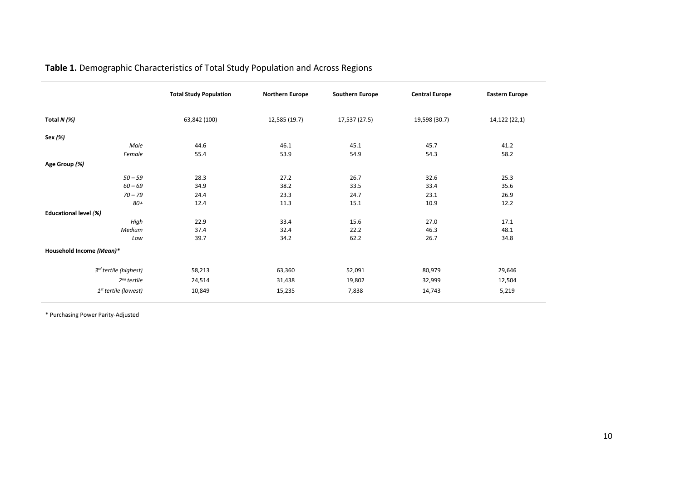|                                  | <b>Total Study Population</b> | <b>Northern Europe</b> | <b>Southern Europe</b> | <b>Central Europe</b> | <b>Eastern Europe</b> |
|----------------------------------|-------------------------------|------------------------|------------------------|-----------------------|-----------------------|
| Total $N$ (%)                    | 63,842 (100)                  | 12,585 (19.7)          | 17,537 (27.5)          | 19,598 (30.7)         | 14,122 (22,1)         |
| Sex (%)                          |                               |                        |                        |                       |                       |
| Male                             | 44.6                          | 46.1                   | 45.1                   | 45.7                  | 41.2                  |
| Female                           | 55.4                          | 53.9                   | 54.9                   | 54.3                  | 58.2                  |
| Age Group (%)                    |                               |                        |                        |                       |                       |
| $50 - 59$                        | 28.3                          | 27.2                   | 26.7                   | 32.6                  | 25.3                  |
| $60 - 69$                        | 34.9                          | 38.2                   | 33.5                   | 33.4                  | 35.6                  |
| $70 - 79$                        | 24.4                          | 23.3                   | 24.7                   | 23.1                  | 26.9                  |
| 80+                              | 12.4                          | 11.3                   | 15.1                   | 10.9                  | 12.2                  |
| Educational level (%)            |                               |                        |                        |                       |                       |
| High                             | 22.9                          | 33.4                   | 15.6                   | 27.0                  | 17.1                  |
| Medium                           | 37.4                          | 32.4                   | 22.2                   | 46.3                  | 48.1                  |
| Low                              | 39.7                          | 34.2                   | 62.2                   | 26.7                  | 34.8                  |
| Household Income (Mean)*         |                               |                        |                        |                       |                       |
| 3rd tertile (highest)            | 58,213                        | 63,360                 | 52,091                 | 80,979                | 29,646                |
| $2^{nd}$ tertile                 | 24,514                        | 31,438                 | 19,802                 | 32,999                | 12,504                |
| 1 <sup>st</sup> tertile (lowest) | 10,849                        | 15,235                 | 7,838                  | 14,743                | 5,219                 |

# **Table 1.** Demographic Characteristics of Total Study Population and Across Regions

\* Purchasing Power Parity-Adjusted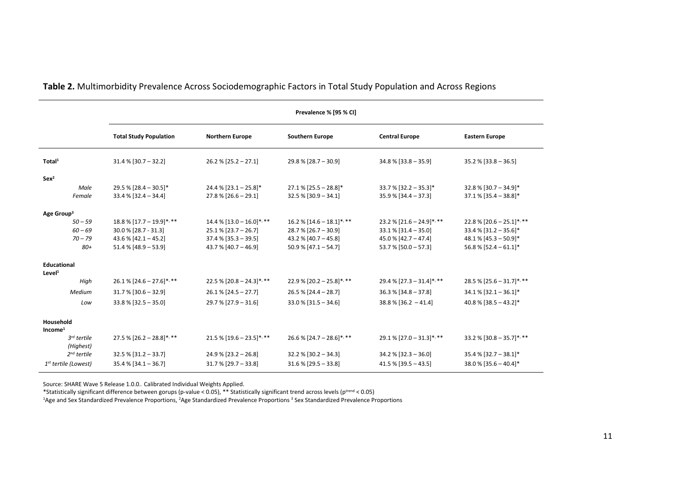|                                          | Prevalence % [95 % CI]        |                             |                              |                              |                              |  |
|------------------------------------------|-------------------------------|-----------------------------|------------------------------|------------------------------|------------------------------|--|
|                                          | <b>Total Study Population</b> | <b>Northern Europe</b>      | <b>Southern Europe</b>       | <b>Central Europe</b>        | <b>Eastern Europe</b>        |  |
| Total <sup>1</sup>                       | $31.4\%$ [30.7 - 32.2]        | $26.2 \%$ [25.2 - 27.1]     | $29.8\%$ [28.7 - 30.9]       | $34.8\%$ [33.8 - 35.9]       | $35.2 \%$ [33.8 - 36.5]      |  |
| Sex <sup>2</sup>                         |                               |                             |                              |                              |                              |  |
| Male                                     | $29.5\%$ [28.4 - 30.5]*       | $24.4\%$ [23.1 - 25.8]*     | $27.1\%$ [25.5 - 28.8]*      | $33.7\%$ [32.2 - 35.3]*      | $32.8\%$ [30.7 - 34.9]*      |  |
| Female                                   | $33.4\%$ [32.4 - 34.4]        | $27.8\%$ [26.6 - 29.1]      | $32.5\%$ [30.9 - 34.1]       | $35.9\%$ [34.4 - 37.3]       | $37.1\%$ [35.4 - 38.8]*      |  |
| Age Group <sup>3</sup>                   |                               |                             |                              |                              |                              |  |
| $50 - 59$                                | $18.8\%$ [17.7 - 19.9]*, **   | $14.4\%$ [13.0 - 16.0]*, ** | $16.2 \%$ [14.6 - 18.1]*, ** | $23.2\%$ [21.6 - 24.9]*, **  | 22.8 % $[20.6 - 25.1]$ *, ** |  |
| $60 - 69$                                | 30.0 % [28.7 - 31.3]          | $25.1\%$ [23.7 - 26.7]      | $28.7 % [26.7 - 30.9]$       | $33.1\%$ [31.4 - 35.0]       | $33.4\%$ [31.2 - 35.6]*      |  |
| $70 - 79$                                | $43.6\%$ [42.1 - 45.2]        | $37.4\%$ [35.3 - 39.5]      | 43.2 % $[40.7 - 45.8]$       | 45.0 % $[42.7 - 47.4]$       | 48.1 % $[45.3 - 50.9]$ *     |  |
| 80+                                      | $51.4\%$ [48.9 - 53.9]        | $43.7\%$ [40.7 - 46.9]      | $50.9\%$ [47.1 - 54.7]       | $53.7\%$ [50.0 - 57.3]       | $56.8\%$ [52.4 - 61.1]*      |  |
| <b>Educational</b><br>Level <sup>1</sup> |                               |                             |                              |                              |                              |  |
| High                                     | $26.1\%$ [24.6 - 27.6]*, **   | $22.5\%$ [20.8 - 24.3]*, ** | 22.9 % $[20.2 - 25.8]$ *, ** | 29.4 % $[27.3 - 31.4]$ *, ** | $28.5\%$ [25.6 - 31.7]*, **  |  |
| Medium                                   | $31.7\%$ [30.6 - 32.9]        | $26.1\%$ [24.5 - 27.7]      | $26.5 \%$ [24.4 - 28.7]      | $36.3\%$ [34.8 - 37.8]       | $34.1\%$ [32.1 - 36.1]*      |  |
| Low                                      | $33.8\%$ [32.5 - 35.0]        | $29.7\%$ [27.9 - 31.6]      | $33.0\%$ [31.5 - 34.6]       | $38.8\%$ [36.2 - 41.4]       | $40.8\%$ [38.5 - 43.2]*      |  |
| Household<br>Income <sup>1</sup>         |                               |                             |                              |                              |                              |  |
| $3^{rd}$ tertile<br>(Highest)            | $27.5\%$ [26.2 - 28.8]*, **   | $21.5\%$ [19.6 - 23.5]*, ** | 26.6 % $[24.7 - 28.6]$ *, ** | $29.1\%$ [27.0 - 31.3]*, **  | 33.2 % [30.8 - 35.7]*, **    |  |
| $2nd$ tertile                            | $32.5\%$ [31.2 - 33.7]        | $24.9\%$ [23.2 - 26.8]      | $32.2 \%$ [30.2 - 34.3]      | $34.2\%$ [32.3 - 36.0]       | $35.4\%$ [32.7 - 38.1]*      |  |
| 1 <sup>st</sup> tertile (Lowest)         | $35.4\%$ [34.1 - 36.7]        | $31.7\%$ [29.7 - 33.8]      | $31.6\%$ [29.5 - 33.8]       | $41.5\%$ [39.5 - 43.5]       | $38.0\%$ [35.6 - 40.4]*      |  |

**Table 2.** Multimorbidity Prevalence Across Sociodemographic Factors in Total Study Population and Across Regions

Source: SHARE Wave 5 Release 1.0.0.. Calibrated Individual Weights Applied.

\*Statistically significant difference between gorups (p-value < 0.05), \*\* Statistically significant trend across levels (p<sup>trend</sup> < 0.05)

<sup>1</sup>Age and Sex Standardized Prevalence Proportions, <sup>2</sup>Age Standardized Prevalence Proportions <sup>3</sup> Sex Standardized Prevalence Proportions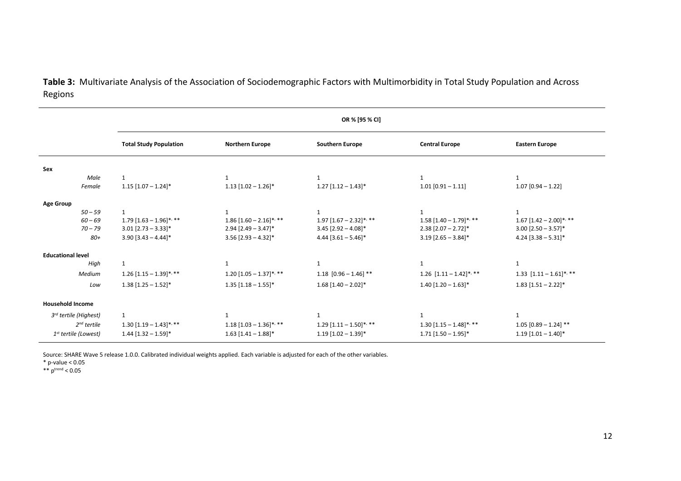**Table 3:** Multivariate Analysis of the Association of Sociodemographic Factors with Multimorbidity in Total Study Population and Across Regions

|                                  | OR % [95 % CI]                |                            |                              |                                     |                                     |  |
|----------------------------------|-------------------------------|----------------------------|------------------------------|-------------------------------------|-------------------------------------|--|
|                                  | <b>Total Study Population</b> | <b>Northern Europe</b>     | <b>Southern Europe</b>       | <b>Central Europe</b>               | <b>Eastern Europe</b>               |  |
| Sex                              |                               |                            |                              |                                     |                                     |  |
| Male<br>Female                   | 1<br>$1.15$ [1.07 - 1.24]*    | $1.13$ [1.02 - 1.26]*      | $1.27$ [1.12 - 1.43]*        | $\mathbf 1$<br>$1.01$ [0.91 - 1.11] | $1.07$ [0.94 - 1.22]                |  |
| <b>Age Group</b>                 |                               |                            |                              |                                     |                                     |  |
| $50 - 59$                        | $\mathbf{1}$                  | $\mathbf{1}$               | $\mathbf{1}$                 | $\mathbf{1}$                        |                                     |  |
| $60 - 69$                        | $1.79$ $[1.63 - 1.96]$ *, **  | $1.86$ [1.60 - 2.16]*, **  | $1.97$ $[1.67 - 2.32]$ *, ** | $1.58 [1.40 - 1.79]$ *, **          | $1.67$ [1.42 – 2.00]*, **           |  |
| $70 - 79$                        | $3.01$ [2.73 - 3.33]*         | $2.94$ [2.49 – 3.47]*      | $3.45$ [2.92 - 4.08]*        | $2.38$ [2.07 - 2.72]*               | $3.00$ [2.50 - 3.57]*               |  |
| 80+                              | $3.90$ [3.43 - 4.44]*         | $3.56$ [2.93 - 4.32]*      | $4.44$ [3.61 - 5.46]*        | $3.19$ [2.65 - 3.84]*               | $4.24$ [3.38 - 5.31]*               |  |
| <b>Educational level</b>         |                               |                            |                              |                                     |                                     |  |
| High                             | 1                             | 1                          | 1                            | $\mathbf{1}$                        | $\mathbf{1}$                        |  |
| Medium                           | $1.26$ [1.15 - 1.39]*, **     | $1.20 [1.05 - 1.37]$ *, ** | 1.18 $[0.96 - 1.46]$ **      | 1.26 $[1.11 - 1.42]$ *, **          | 1.33 $[1.11 - 1.61]$ *, **          |  |
| Low                              | $1.38$ [1.25 – 1.52]*         | $1.35$ [1.18 - 1.55]*      | $1.68$ [1.40 - 2.02]*        | $1.40$ [1.20 - 1.63]*               | $1.83$ [1.51 – 2.22]*               |  |
| <b>Household Income</b>          |                               |                            |                              |                                     |                                     |  |
| 3rd tertile (Highest)            | $\mathbf{1}$                  | 1                          | 1                            | $\mathbf{1}$                        | $\mathbf{1}$                        |  |
| $2nd$ tertile                    | $1.30$ [1.19 – 1.43]*, **     | $1.18 [1.03 - 1.36]$ *, ** | $1.29$ $[1.11 - 1.50]$ *, ** | $1.30$ [1.15 – 1.48]*, **           | $1.05$ [0.89 - 1.24] **             |  |
|                                  |                               |                            |                              |                                     |                                     |  |
| 1 <sup>st</sup> tertile (Lowest) | $1.44$ [1.32 - 1.59]*         | $1.63$ [1.41 - 1.88]*      | $1.19$ [1.02 - 1.39]*        | $1.71$ [1.50 - 1.95]*               | $1.19$ $[1.01 - 1.40]$ <sup>*</sup> |  |

Source: SHARE Wave 5 release 1.0.0. Calibrated individual weights applied. Each variable is adjusted for each of the other variables.

\* p-value < 0.05

\*\*  $p^{trend} < 0.05$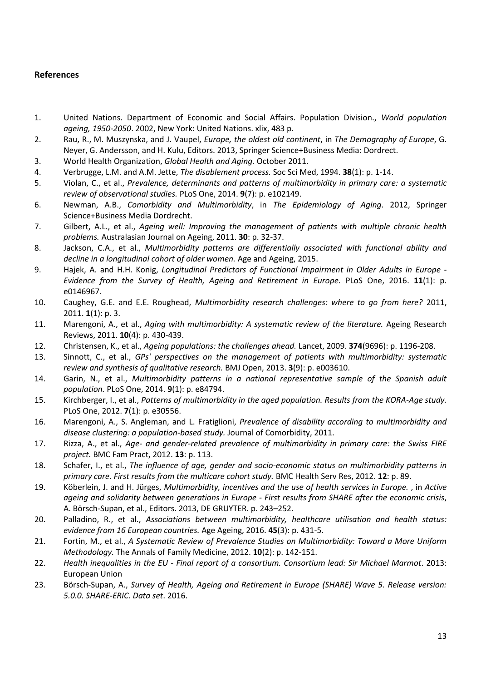## **References**

- 1. United Nations. Department of Economic and Social Affairs. Population Division., *World population ageing, 1950-2050*. 2002, New York: United Nations. xlix, 483 p.
- 2. Rau, R., M. Muszynska, and J. Vaupel, *Europe, the oldest old continent*, in *The Demography of Europe*, G. Neyer, G. Andersson, and H. Kulu, Editors. 2013, Springer Science+Business Media: Dordrect.
- 3. World Health Organization, *Global Health and Aging.* October 2011.
- 4. Verbrugge, L.M. and A.M. Jette, *The disablement process.* Soc Sci Med, 1994. **38**(1): p. 1-14.
- 5. Violan, C., et al., *Prevalence, determinants and patterns of multimorbidity in primary care: a systematic review of observational studies.* PLoS One, 2014. **9**(7): p. e102149.
- 6. Newman, A.B., *Comorbidity and Multimorbidity*, in *The Epidemiology of Aging*. 2012, Springer Science+Business Media Dordrecht.
- 7. Gilbert, A.L., et al., *Ageing well: Improving the management of patients with multiple chronic health problems.* Australasian Journal on Ageing, 2011. **30**: p. 32-37.
- 8. Jackson, C.A., et al., *Multimorbidity patterns are differentially associated with functional ability and decline in a longitudinal cohort of older women.* Age and Ageing, 2015.
- 9. Hajek, A. and H.H. Konig, *Longitudinal Predictors of Functional Impairment in Older Adults in Europe - Evidence from the Survey of Health, Ageing and Retirement in Europe.* PLoS One, 2016. **11**(1): p. e0146967.
- 10. Caughey, G.E. and E.E. Roughead, *Multimorbidity research challenges: where to go from here?* 2011, 2011. **1**(1): p. 3.
- 11. Marengoni, A., et al., *Aging with multimorbidity: A systematic review of the literature.* Ageing Research Reviews, 2011. **10**(4): p. 430-439.
- 12. Christensen, K., et al., *Ageing populations: the challenges ahead.* Lancet, 2009. **374**(9696): p. 1196-208.
- 13. Sinnott, C., et al., *GPs' perspectives on the management of patients with multimorbidity: systematic review and synthesis of qualitative research.* BMJ Open, 2013. **3**(9): p. e003610.
- 14. Garin, N., et al., *Multimorbidity patterns in a national representative sample of the Spanish adult population.* PLoS One, 2014. **9**(1): p. e84794.
- 15. Kirchberger, I., et al., *Patterns of multimorbidity in the aged population. Results from the KORA-Age study.* PLoS One, 2012. **7**(1): p. e30556.
- 16. Marengoni, A., S. Angleman, and L. Fratiglioni, *Prevalence of disability according to multimorbidity and disease clustering: a population-based study.* Journal of Comorbidity, 2011.
- 17. Rizza, A., et al., *Age- and gender-related prevalence of multimorbidity in primary care: the Swiss FIRE project.* BMC Fam Pract, 2012. **13**: p. 113.
- 18. Schafer, I., et al., *The influence of age, gender and socio-economic status on multimorbidity patterns in primary care. First results from the multicare cohort study.* BMC Health Serv Res, 2012. **12**: p. 89.
- 19. Köberlein, J. and H. Jürges, *Multimorbidity, incentives and the use of health services in Europe.* , in *Active ageing and solidarity between generations in Europe - First results from SHARE after the economic crisis*, A. Börsch-Supan, et al., Editors. 2013, DE GRUYTER. p. 243–252.
- 20. Palladino, R., et al., *Associations between multimorbidity, healthcare utilisation and health status: evidence from 16 European countries.* Age Ageing, 2016. **45**(3): p. 431-5.
- 21. Fortin, M., et al., *A Systematic Review of Prevalence Studies on Multimorbidity: Toward a More Uniform Methodology.* The Annals of Family Medicine, 2012. **10**(2): p. 142-151.
- 22. *Health inequalities in the EU - Final report of a consortium. Consortium lead: Sir Michael Marmot*. 2013: European Union
- 23. Börsch-Supan, A., *Survey of Health, Ageing and Retirement in Europe (SHARE) Wave 5. Release version: 5.0.0. SHARE-ERIC. Data set*. 2016.